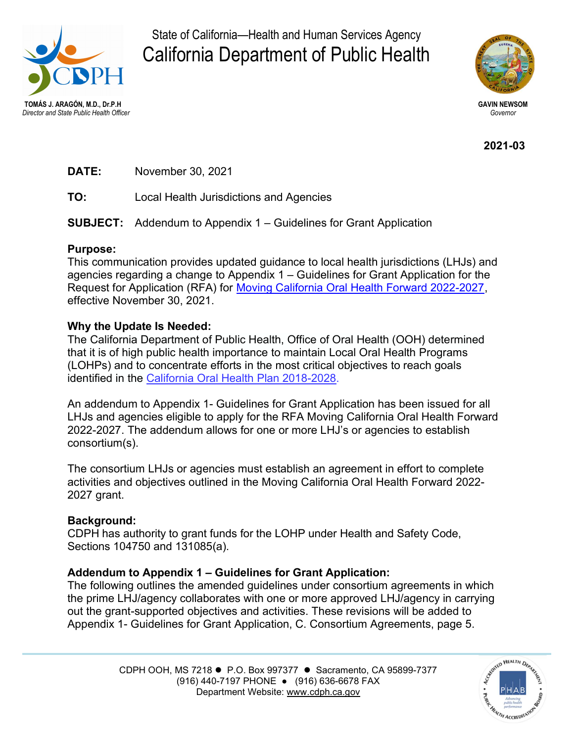

State of California—Health and Human Services Agency California Department of Public Health



2021-03

DATE: November 30, 2021

TO: Local Health Jurisdictions and Agencies

SUBJECT: Addendum to Appendix 1 – Guidelines for Grant Application

## Purpose:

This communication provides updated guidance to local health jurisdictions (LHJs) and agencies regarding a change to Appendix 1 – Guidelines for Grant Application for the Request for Application (RFA) for [Moving California Oral Health Forward 2022-2027](https://oralhealthsupport.ucsf.edu/moving-california-oral-health-forward-rfa-2022-2027), effective November 30, 2021.

## Why the Update Is Needed:

The California Department of Public Health, Office of Oral Health (OOH) determined that it is of high public health importance to maintain Local Oral Health Programs (LOHPs) and to concentrate efforts in the most critical objectives to reach goals identified in the [California Oral Health Plan 2018-2028.](https://oralhealthsupport.ucsf.edu/sites/g/files/tkssra861/f/wysiwyg/Appendix 4 - California Oral Health Plan-ADA.pdf)

An addendum to Appendix 1- Guidelines for Grant Application has been issued for all LHJs and agencies eligible to apply for the RFA Moving California Oral Health Forward 2022-2027. The addendum allows for one or more LHJ's or agencies to establish consortium(s).

The consortium LHJs or agencies must establish an agreement in effort to complete activities and objectives outlined in the Moving California Oral Health Forward 2022- 2027 grant.

## Background:

CDPH has authority to grant funds for the LOHP under Health and Safety Code, Sections 104750 and 131085(a).

## Addendum to Appendix 1 – Guidelines for Grant Application:

The following outlines the amended guidelines under consortium agreements in which the prime LHJ/agency collaborates with one or more approved LHJ/agency in carrying out the grant-supported objectives and activities. These revisions will be added to Appendix 1- Guidelines for Grant Application, C. Consortium Agreements, page 5.